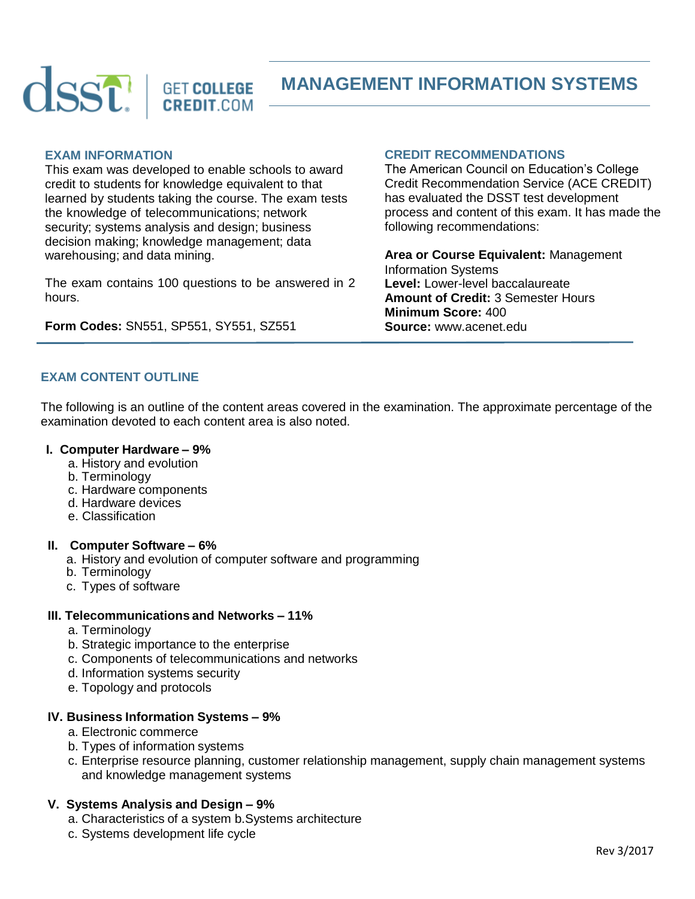

# **MANAGEMENT INFORMATION SYSTEMS**

#### **EXAM INFORMATION**

This exam was developed to enable schools to award credit to students for knowledge equivalent to that learned by students taking the course. The exam tests the knowledge of telecommunications; network security; systems analysis and design; business decision making; knowledge management; data warehousing; and data mining.

The exam contains 100 questions to be answered in 2 hours.

**Form Codes:** SN551, SP551, SY551, SZ551

## **CREDIT RECOMMENDATIONS**

The American Council on Education's College Credit Recommendation Service (ACE CREDIT) has evaluated the DSST test development process and content of this exam. It has made the following recommendations:

**Area or Course Equivalent:** Management Information Systems **Level:** Lower-level baccalaureate **Amount of Credit:** 3 Semester Hours **Minimum Score:** 400 **Source:** www.acenet.edu

## **EXAM CONTENT OUTLINE**

The following is an outline of the content areas covered in the examination. The approximate percentage of the examination devoted to each content area is also noted.

#### **I. Computer Hardware – 9%**

- a. History and evolution
- b. Terminology
- c. Hardware components
- d. Hardware devices
- e. Classification

#### **II. Computer Software – 6%**

- a. History and evolution of computer software and programming
- b. Terminology
- c. Types of software

#### **III. Telecommunications and Networks – 11%**

- a. Terminology
- b. Strategic importance to the enterprise
- c. Components of telecommunications and networks
- d. Information systems security
- e. Topology and protocols

#### **IV. Business Information Systems – 9%**

- a. Electronic commerce
- b. Types of information systems
- c. Enterprise resource planning, customer relationship management, supply chain management systems and knowledge management systems

#### **V. Systems Analysis and Design – 9%**

- a. Characteristics of a system b.Systems architecture
- c. Systems development life cycle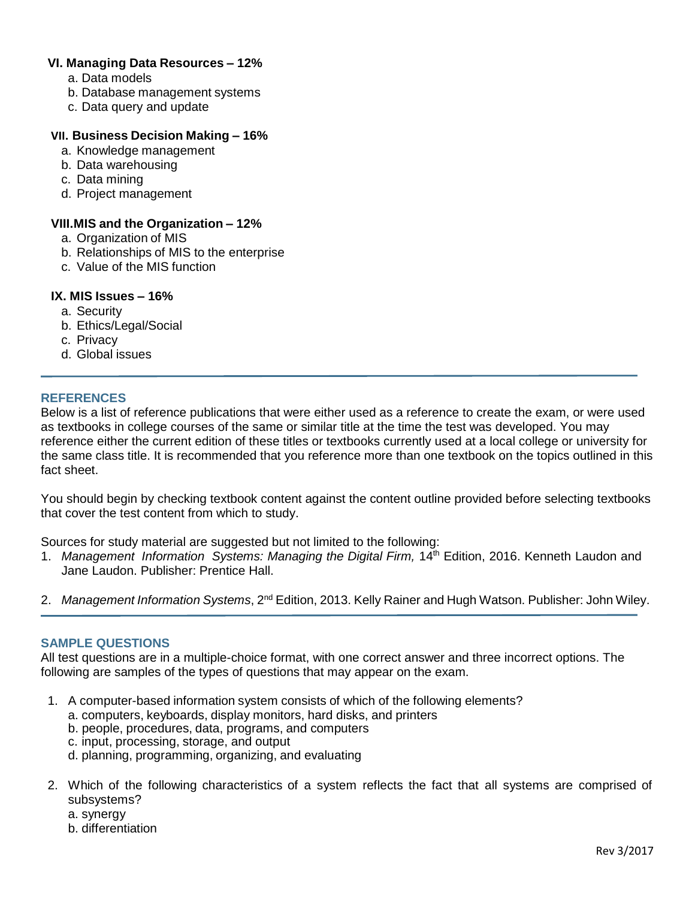# **VI. Managing Data Resources – 12%**

- a. Data models
- b. Database management systems
- c. Data query and update

## **VII. Business Decision Making – 16%**

- a. Knowledge management
- b. Data warehousing
- c. Data mining
- d. Project management

# **VIII.MIS and the Organization – 12%**

- a. Organization of MIS
- b. Relationships of MIS to the enterprise
- c. Value of the MIS function

# **IX. MIS Issues – 16%**

- a. Security
- b. Ethics/Legal/Social
- c. Privacy
- d. Global issues

## **REFERENCES**

Below is a list of reference publications that were either used as a reference to create the exam, or were used as textbooks in college courses of the same or similar title at the time the test was developed. You may reference either the current edition of these titles or textbooks currently used at a local college or university for the same class title. It is recommended that you reference more than one textbook on the topics outlined in this fact sheet.

You should begin by checking textbook content against the content outline provided before selecting textbooks that cover the test content from which to study.

Sources for study material are suggested but not limited to the following:

- 1. *Management Information Systems: Managing the Digital Firm,* 14th Edition, 2016. Kenneth Laudon and Jane Laudon. Publisher: Prentice Hall.
- 2. *Management Information Systems*, 2nd Edition, 2013. Kelly Rainer and Hugh Watson. Publisher: John Wiley.

# **SAMPLE QUESTIONS**

All test questions are in a multiple-choice format, with one correct answer and three incorrect options. The following are samples of the types of questions that may appear on the exam.

- 1. A computer-based information system consists of which of the following elements?
	- a. computers, keyboards, display monitors, hard disks, and printers
	- b. people, procedures, data, programs, and computers
	- c. input, processing, storage, and output
	- d. planning, programming, organizing, and evaluating
- 2. Which of the following characteristics of a system reflects the fact that all systems are comprised of subsystems?
	- a. synergy
	- b. differentiation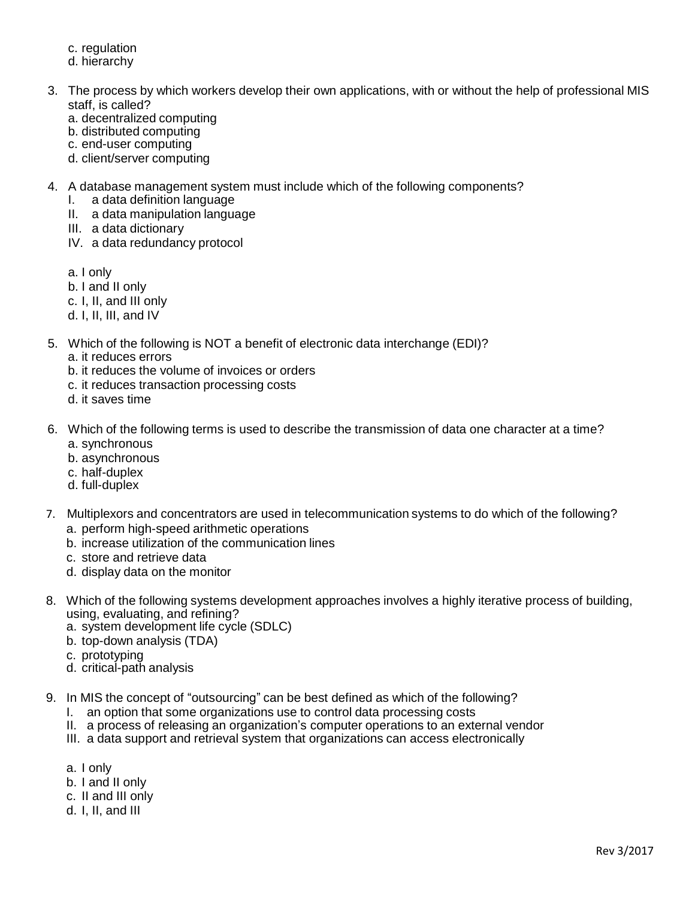- c. regulation
- d. hierarchy
- 3. The process by which workers develop their own applications, with or without the help of professional MIS staff, is called?
	- a. decentralized computing
	- b. distributed computing
	- c. end-user computing
	- d. client/server computing
- 4. A database management system must include which of the following components?
	- I. a data definition language
	- II. a data manipulation language
	- III. a data dictionary
	- IV. a data redundancy protocol
	- a. I only
	- b. I and II only
	- c. I, II, and III only
	- d. I, II, III, and IV
- 5. Which of the following is NOT a benefit of electronic data interchange (EDI)?
	- a. it reduces errors
	- b. it reduces the volume of invoices or orders
	- c. it reduces transaction processing costs
	- d. it saves time
- 6. Which of the following terms is used to describe the transmission of data one character at a time? a. synchronous
	- b. asynchronous
	- c. half-duplex
	- d. full-duplex
- 7. Multiplexors and concentrators are used in telecommunication systems to do which of the following? a. perform high-speed arithmetic operations
	-
	- b. increase utilization of the communication lines
	- c. store and retrieve data
	- d. display data on the monitor
- 8. Which of the following systems development approaches involves a highly iterative process of building, using, evaluating, and refining?
	- a. system development life cycle (SDLC)
	- b. top-down analysis (TDA)
	- c. prototyping
	- d. critical-path analysis
- 9. In MIS the concept of "outsourcing" can be best defined as which of the following?
	- I. an option that some organizations use to control data processing costs
	- II. a process of releasing an organization's computer operations to an external vendor
	- III. a data support and retrieval system that organizations can access electronically
	- a. I only
	- b. I and II only
	- c. II and III only
	- d. I, II, and III